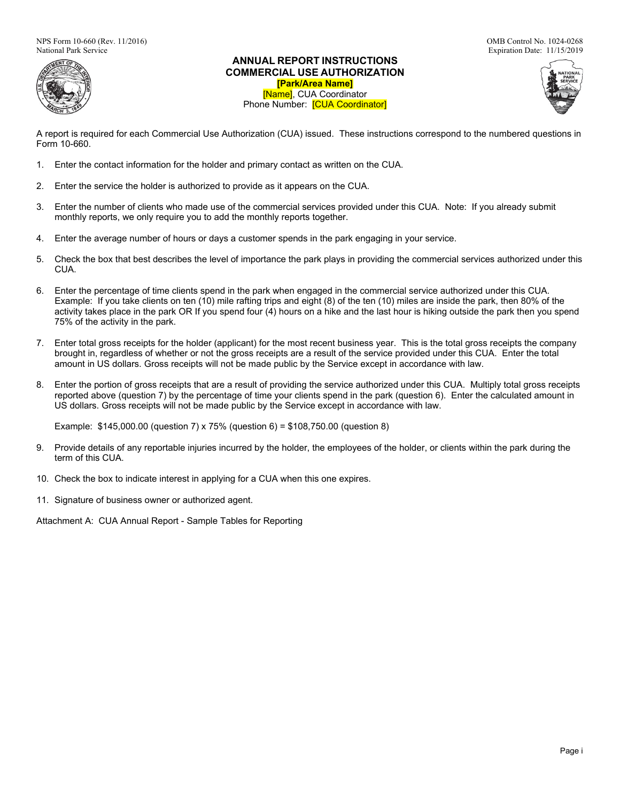NPS Form 10-660 (Rev. 11/2016)<br>
National Park Service<br>
National Park Service<br>
OMB Control No. 1024-0268<br>
Expiration Date: 11/15/2019



## **ANNUAL REPORT INSTRUCTIONS COMMERCIAL USE AUTHORIZATION [Park/Area Name]** [Name], CUA Coordinator Phone Number: [CUA Coordinator]



A report is required for each Commercial Use Authorization (CUA) issued. These instructions correspond to the numbered questions in Form 10-660.

- 1. Enter the contact information for the holder and primary contact as written on the CUA.
- 2. Enter the service the holder is authorized to provide as it appears on the CUA.
- 3. Enter the number of clients who made use of the commercial services provided under this CUA. Note: If you already submit monthly reports, we only require you to add the monthly reports together.
- 4. Enter the average number of hours or days a customer spends in the park engaging in your service.
- 5. Check the box that best describes the level of importance the park plays in providing the commercial services authorized under this CUA.
- 6. Enter the percentage of time clients spend in the park when engaged in the commercial service authorized under this CUA. Example: If you take clients on ten (10) mile rafting trips and eight (8) of the ten (10) miles are inside the park, then 80% of the activity takes place in the park OR If you spend four (4) hours on a hike and the last hour is hiking outside the park then you spend 75% of the activity in the park.
- 7. Enter total gross receipts for the holder (applicant) for the most recent business year. This is the total gross receipts the company brought in, regardless of whether or not the gross receipts are a result of the service provided under this CUA. Enter the total amount in US dollars. Gross receipts will not be made public by the Service except in accordance with law.
- 8. Enter the portion of gross receipts that are a result of providing the service authorized under this CUA. Multiply total gross receipts reported above (question 7) by the percentage of time your clients spend in the park (question 6). Enter the calculated amount in US dollars. Gross receipts will not be made public by the Service except in accordance with law.

Example: \$145,000.00 (question 7) x 75% (question 6) = \$108,750.00 (question 8)

- 9. Provide details of any reportable injuries incurred by the holder, the employees of the holder, or clients within the park during the term of this CUA.
- 10. Check the box to indicate interest in applying for a CUA when this one expires.
- 11. Signature of business owner or authorized agent.

Attachment A: CUA Annual Report - Sample Tables for Reporting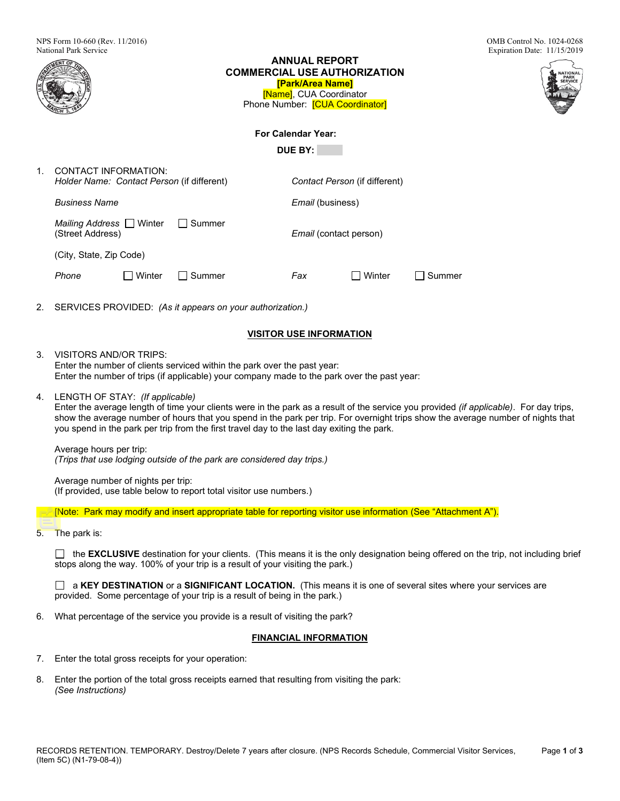|    | <b>National Park Service</b><br>Expiration Date: 11/15/2019<br><b>ANNUAL REPORT</b><br><b>COMMERCIAL USE AUTHORIZATION</b><br><b>ATIONAL</b><br>[Park/Area Name]<br>[Name], CUA Coordinator<br>Phone Number: [CUA Coordinator]                                                                                                                                                                              |  |  |  |  |  |  |  |
|----|-------------------------------------------------------------------------------------------------------------------------------------------------------------------------------------------------------------------------------------------------------------------------------------------------------------------------------------------------------------------------------------------------------------|--|--|--|--|--|--|--|
|    | <b>For Calendar Year:</b>                                                                                                                                                                                                                                                                                                                                                                                   |  |  |  |  |  |  |  |
|    | <b>DUE BY:</b>                                                                                                                                                                                                                                                                                                                                                                                              |  |  |  |  |  |  |  |
| 1. | <b>CONTACT INFORMATION:</b><br>Holder Name: Contact Person (if different)<br>Contact Person (if different)                                                                                                                                                                                                                                                                                                  |  |  |  |  |  |  |  |
|    | Business Name<br>Email (business)                                                                                                                                                                                                                                                                                                                                                                           |  |  |  |  |  |  |  |
|    | Mailing Address IV inter<br>  Summer<br>(Street Address)<br>Email (contact person)                                                                                                                                                                                                                                                                                                                          |  |  |  |  |  |  |  |
|    | (City, State, Zip Code)                                                                                                                                                                                                                                                                                                                                                                                     |  |  |  |  |  |  |  |
|    | Fax<br>$\Box$ Winter<br>Phone<br>  Summer<br>I Summer                                                                                                                                                                                                                                                                                                                                                       |  |  |  |  |  |  |  |
| 2. | SERVICES PROVIDED: (As it appears on your authorization.)                                                                                                                                                                                                                                                                                                                                                   |  |  |  |  |  |  |  |
|    | <b>VISITOR USE INFORMATION</b>                                                                                                                                                                                                                                                                                                                                                                              |  |  |  |  |  |  |  |
| 3. | <b>VISITORS AND/OR TRIPS:</b><br>Enter the number of clients serviced within the park over the past year:<br>Enter the number of trips (if applicable) your company made to the park over the past year:                                                                                                                                                                                                    |  |  |  |  |  |  |  |
| 4. | LENGTH OF STAY: (If applicable)<br>Enter the average length of time your clients were in the park as a result of the service you provided (if applicable). For day trips,<br>show the average number of hours that you spend in the park per trip. For overnight trips show the average number of nights that<br>you spend in the park per trip from the first travel day to the last day exiting the park. |  |  |  |  |  |  |  |
|    | Average hours per trip:<br>(Trips that use lodging outside of the park are considered day trips.)                                                                                                                                                                                                                                                                                                           |  |  |  |  |  |  |  |
|    | Average number of nights per trip:<br>(If provided, use table below to report total visitor use numbers.)                                                                                                                                                                                                                                                                                                   |  |  |  |  |  |  |  |
|    | [Note: Park may modify and insert appropriate table for reporting visitor use information (See "Attachment A").                                                                                                                                                                                                                                                                                             |  |  |  |  |  |  |  |
| 5. | The park is:                                                                                                                                                                                                                                                                                                                                                                                                |  |  |  |  |  |  |  |

□ the **EXCLUSIVE** destination for your clients. (This means it is the only designation being offered on the trip, not including brief stops along the way. 100% of your trip is a result of your visiting the park.)

a **KEY DESTINATION** or a **SIGNIFICANT LOCATION.** (This means it is one of several sites where your services are provided. Some percentage of your trip is a result of being in the park.)

6. What percentage of the service you provide is a result of visiting the park?

# **FINANCIAL INFORMATION**

- 7. Enter the total gross receipts for your operation:
- 8. Enter the portion of the total gross receipts earned that resulting from visiting the park: *(See Instructions)*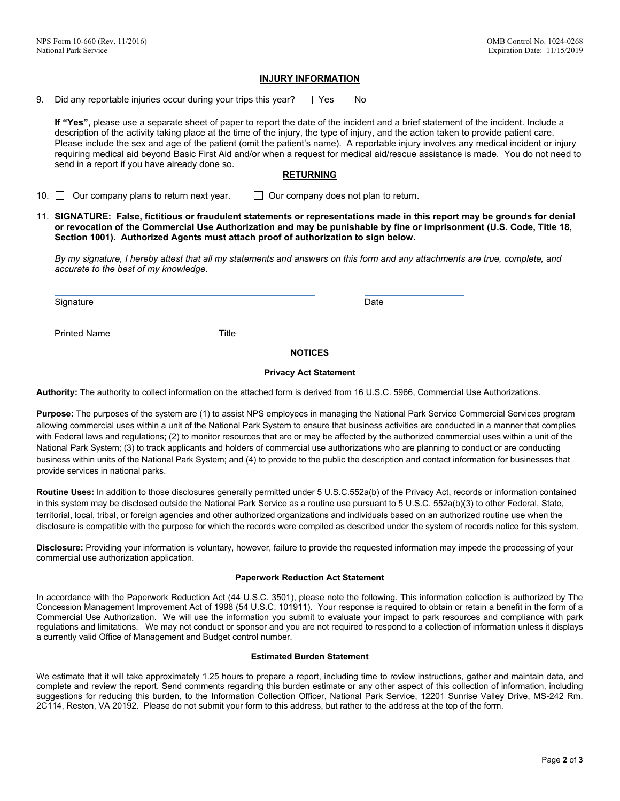### **INJURY INFORMATION**

9. Did any reportable injuries occur during your trips this year?  $\Box$  Yes  $\Box$  No

**If "Yes"**, please use a separate sheet of paper to report the date of the incident and a brief statement of the incident. Include a description of the activity taking place at the time of the injury, the type of injury, and the action taken to provide patient care. Please include the sex and age of the patient (omit the patient's name). A reportable injury involves any medical incident or injury requiring medical aid beyond Basic First Aid and/or when a request for medical aid/rescue assistance is made. You do not need to send in a report if you have already done so.

### **RETURNING**

10.  $\Box$  Our company plans to return next year.  $\Box$  Our company does not plan to return.

11. **SIGNATURE: False, fictitious or fraudulent statements or representations made in this report may be grounds for denial or revocation of the Commercial Use Authorization and may be punishable by fine or imprisonment (U.S. Code, Title 18, Section 1001). Authorized Agents must attach proof of authorization to sign below.**

*By my signature, I hereby attest that all my statements and answers on this form and any attachments are true, complete, and accurate to the best of my knowledge.*

Signature Date Date of the Date of the Date of the Date of the Date of the Date of the Date of the Date of the

Printed Name Title

**NOTICES**

#### **Privacy Act Statement**

**Authority:** The authority to collect information on the attached form is derived from 16 U.S.C. 5966, Commercial Use Authorizations.

**Purpose:** The purposes of the system are (1) to assist NPS employees in managing the National Park Service Commercial Services program allowing commercial uses within a unit of the National Park System to ensure that business activities are conducted in a manner that complies with Federal laws and regulations; (2) to monitor resources that are or may be affected by the authorized commercial uses within a unit of the National Park System; (3) to track applicants and holders of commercial use authorizations who are planning to conduct or are conducting business within units of the National Park System; and (4) to provide to the public the description and contact information for businesses that provide services in national parks.

**Routine Uses:** In addition to those disclosures generally permitted under 5 U.S.C.552a(b) of the Privacy Act, records or information contained in this system may be disclosed outside the National Park Service as a routine use pursuant to 5 U.S.C. 552a(b)(3) to other Federal, State, territorial, local, tribal, or foreign agencies and other authorized organizations and individuals based on an authorized routine use when the disclosure is compatible with the purpose for which the records were compiled as described under the system of records notice for this system.

**Disclosure:** Providing your information is voluntary, however, failure to provide the requested information may impede the processing of your commercial use authorization application.

#### **Paperwork Reduction Act Statement**

In accordance with the Paperwork Reduction Act (44 U.S.C. 3501), please note the following. This information collection is authorized by The Concession Management Improvement Act of 1998 (54 U.S.C. 101911). Your response is required to obtain or retain a benefit in the form of a Commercial Use Authorization. We will use the information you submit to evaluate your impact to park resources and compliance with park regulations and limitations. We may not conduct or sponsor and you are not required to respond to a collection of information unless it displays a currently valid Office of Management and Budget control number.

#### **Estimated Burden Statement**

We estimate that it will take approximately 1.25 hours to prepare a report, including time to review instructions, gather and maintain data, and complete and review the report. Send comments regarding this burden estimate or any other aspect of this collection of information, including suggestions for reducing this burden, to the Information Collection Officer, National Park Service, 12201 Sunrise Valley Drive, MS-242 Rm. 2C114, Reston, VA 20192. Please do not submit your form to this address, but rather to the address at the top of the form.